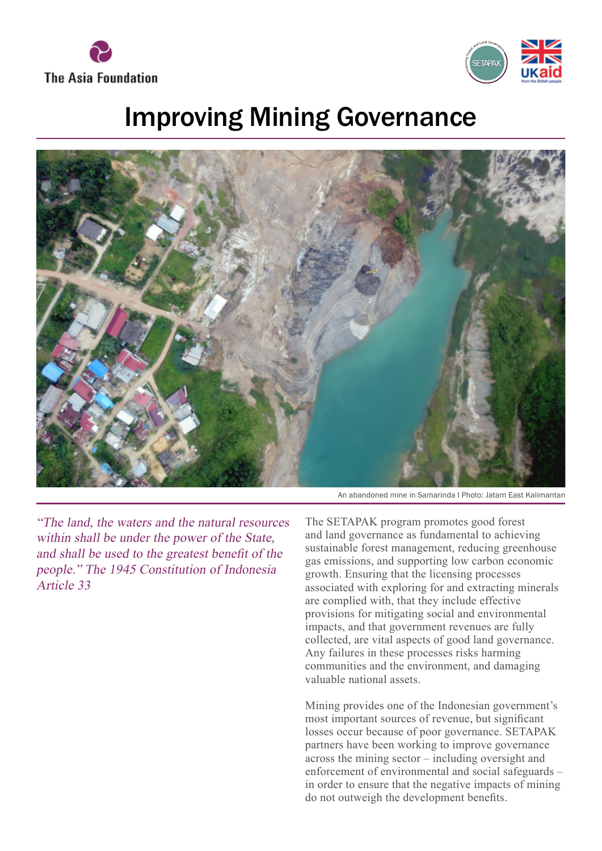



## Improving Mining Governance



"The land, the waters and the natural resources within shall be under the power of the State, and shall be used to the greatest benefit of the people." The 1945 Constitution of Indonesia Article 33

An abandoned mine in Samarinda I Photo: Jatam East Kalimantan

The SETAPAK program promotes good forest and land governance as fundamental to achieving sustainable forest management, reducing greenhouse gas emissions, and supporting low carbon economic growth. Ensuring that the licensing processes associated with exploring for and extracting minerals are complied with, that they include effective provisions for mitigating social and environmental impacts, and that government revenues are fully collected, are vital aspects of good land governance. Any failures in these processes risks harming communities and the environment, and damaging valuable national assets.

Mining provides one of the Indonesian government's most important sources of revenue, but significant losses occur because of poor governance. SETAPAK partners have been working to improve governance across the mining sector – including oversight and enforcement of environmental and social safeguards – in order to ensure that the negative impacts of mining do not outweigh the development benefits.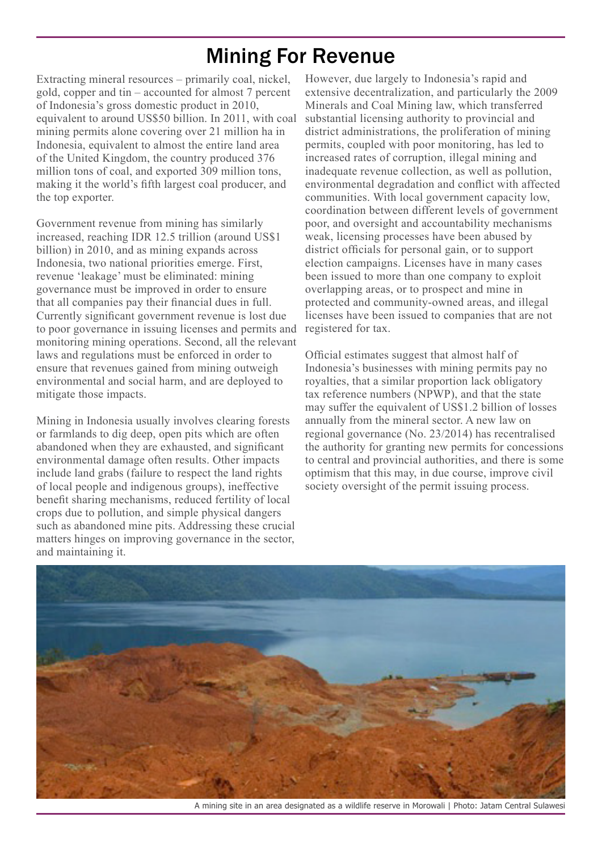## Mining For Revenue

Extracting mineral resources – primarily coal, nickel, gold, copper and tin – accounted for almost 7 percent of Indonesia's gross domestic product in 2010, equivalent to around US\$50 billion. In 2011, with coal mining permits alone covering over 21 million ha in Indonesia, equivalent to almost the entire land area of the United Kingdom, the country produced 376 million tons of coal, and exported 309 million tons, making it the world's fifth largest coal producer, and the top exporter.

Government revenue from mining has similarly increased, reaching IDR 12.5 trillion (around US\$1 billion) in 2010, and as mining expands across Indonesia, two national priorities emerge. First, revenue 'leakage' must be eliminated: mining governance must be improved in order to ensure that all companies pay their financial dues in full. Currently significant government revenue is lost due to poor governance in issuing licenses and permits and monitoring mining operations. Second, all the relevant laws and regulations must be enforced in order to ensure that revenues gained from mining outweigh environmental and social harm, and are deployed to mitigate those impacts.

Mining in Indonesia usually involves clearing forests or farmlands to dig deep, open pits which are often abandoned when they are exhausted, and significant environmental damage often results. Other impacts include land grabs (failure to respect the land rights of local people and indigenous groups), ineffective benefit sharing mechanisms, reduced fertility of local crops due to pollution, and simple physical dangers such as abandoned mine pits. Addressing these crucial matters hinges on improving governance in the sector, and maintaining it.

However, due largely to Indonesia's rapid and extensive decentralization, and particularly the 2009 Minerals and Coal Mining law, which transferred substantial licensing authority to provincial and district administrations, the proliferation of mining permits, coupled with poor monitoring, has led to increased rates of corruption, illegal mining and inadequate revenue collection, as well as pollution, environmental degradation and conflict with affected communities. With local government capacity low, coordination between different levels of government poor, and oversight and accountability mechanisms weak, licensing processes have been abused by district officials for personal gain, or to support election campaigns. Licenses have in many cases been issued to more than one company to exploit overlapping areas, or to prospect and mine in protected and community-owned areas, and illegal licenses have been issued to companies that are not registered for tax.

Official estimates suggest that almost half of Indonesia's businesses with mining permits pay no royalties, that a similar proportion lack obligatory tax reference numbers (NPWP), and that the state may suffer the equivalent of US\$1.2 billion of losses annually from the mineral sector. A new law on regional governance (No. 23/2014) has recentralised the authority for granting new permits for concessions to central and provincial authorities, and there is some optimism that this may, in due course, improve civil society oversight of the permit issuing process.



A mining site in an area designated as a wildlife reserve in Morowali | Photo: Jatam Central Sulawesi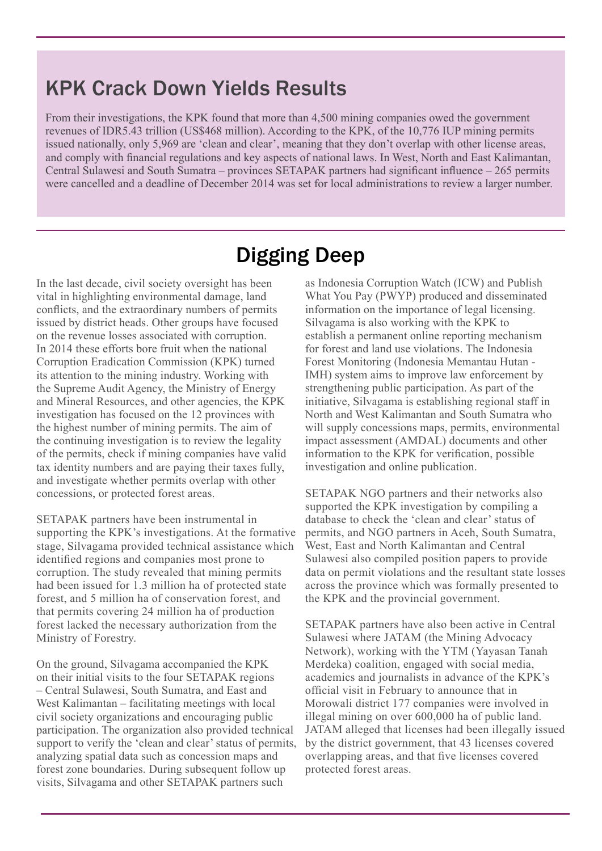## KPK Crack Down Yields Results

From their investigations, the KPK found that more than 4,500 mining companies owed the government revenues of IDR5.43 trillion (US\$468 million). According to the KPK, of the 10,776 IUP mining permits issued nationally, only 5,969 are 'clean and clear', meaning that they don't overlap with other license areas, and comply with financial regulations and key aspects of national laws. In West, North and East Kalimantan, Central Sulawesi and South Sumatra – provinces SETAPAK partners had significant influence – 265 permits were cancelled and a deadline of December 2014 was set for local administrations to review a larger number.

## Digging Deep

In the last decade, civil society oversight has been vital in highlighting environmental damage, land conflicts, and the extraordinary numbers of permits issued by district heads. Other groups have focused on the revenue losses associated with corruption. In 2014 these efforts bore fruit when the national Corruption Eradication Commission (KPK) turned its attention to the mining industry. Working with the Supreme Audit Agency, the Ministry of Energy and Mineral Resources, and other agencies, the KPK investigation has focused on the 12 provinces with the highest number of mining permits. The aim of the continuing investigation is to review the legality of the permits, check if mining companies have valid tax identity numbers and are paying their taxes fully, and investigate whether permits overlap with other concessions, or protected forest areas.

SETAPAK partners have been instrumental in supporting the KPK's investigations. At the formative stage, Silvagama provided technical assistance which identified regions and companies most prone to corruption. The study revealed that mining permits had been issued for 1.3 million ha of protected state forest, and 5 million ha of conservation forest, and that permits covering 24 million ha of production forest lacked the necessary authorization from the Ministry of Forestry.

On the ground, Silvagama accompanied the KPK on their initial visits to the four SETAPAK regions – Central Sulawesi, South Sumatra, and East and West Kalimantan – facilitating meetings with local civil society organizations and encouraging public participation. The organization also provided technical support to verify the 'clean and clear' status of permits, analyzing spatial data such as concession maps and forest zone boundaries. During subsequent follow up visits, Silvagama and other SETAPAK partners such

as Indonesia Corruption Watch (ICW) and Publish What You Pay (PWYP) produced and disseminated information on the importance of legal licensing. Silvagama is also working with the KPK to establish a permanent online reporting mechanism for forest and land use violations. The Indonesia Forest Monitoring (Indonesia Memantau Hutan - IMH) system aims to improve law enforcement by strengthening public participation. As part of the initiative, Silvagama is establishing regional staff in North and West Kalimantan and South Sumatra who will supply concessions maps, permits, environmental impact assessment (AMDAL) documents and other information to the KPK for verification, possible investigation and online publication.

SETAPAK NGO partners and their networks also supported the KPK investigation by compiling a database to check the 'clean and clear' status of permits, and NGO partners in Aceh, South Sumatra, West, East and North Kalimantan and Central Sulawesi also compiled position papers to provide data on permit violations and the resultant state losses across the province which was formally presented to the KPK and the provincial government.

SETAPAK partners have also been active in Central Sulawesi where JATAM (the Mining Advocacy Network), working with the YTM (Yayasan Tanah Merdeka) coalition, engaged with social media, academics and journalists in advance of the KPK's official visit in February to announce that in Morowali district 177 companies were involved in illegal mining on over 600,000 ha of public land. JATAM alleged that licenses had been illegally issued by the district government, that 43 licenses covered overlapping areas, and that five licenses covered protected forest areas.